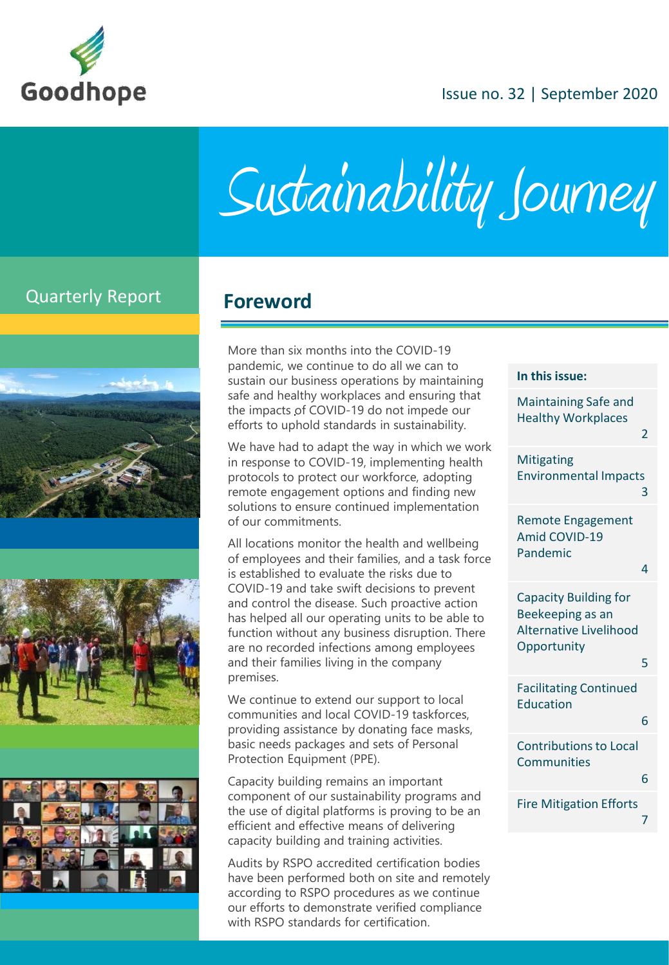

### Issue no. 32 | September 2020

Sustainability Journey

## Quarterly Report **Foreword**







More than six months into the COVID-19 pandemic, we continue to do all we can to sustain our business operations by maintaining safe and healthy workplaces and ensuring that the impacts of COVID-19 do not impede our efforts to uphold standards in sustainability.

We have had to adapt the way in which we work in response to COVID-19, implementing health protocols to protect our workforce, adopting remote engagement options and finding new solutions to ensure continued implementation of our commitments.

All locations monitor the health and wellbeing of employees and their families, and a task force is established to evaluate the risks due to COVID-19 and take swift decisions to prevent and control the disease. Such proactive action has helped all our operating units to be able to function without any business disruption. There are no recorded infections among employees and their families living in the company premises.

We continue to extend our support to local communities and local COVID-19 taskforces, providing assistance by donating face masks, basic needs packages and sets of Personal Protection Equipment (PPE).

Capacity building remains an important component of our sustainability programs and the use of digital platforms is proving to be an efficient and effective means of delivering capacity building and training activities.

Audits by RSPO accredited certification bodies have been performed both on site and remotely according to RSPO procedures as we continue our efforts to demonstrate verified compliance with RSPO standards for certification.

|  | In this issue: |
|--|----------------|

| <b>Maintaining Safe and</b><br><b>Healthy Workplaces</b>                                         | 2 |
|--------------------------------------------------------------------------------------------------|---|
| <b>Mitigating</b><br><b>Environmental Impacts</b>                                                | 3 |
| <b>Remote Engagement</b><br>Amid COVID-19<br>Pandemic                                            | 4 |
| <b>Capacity Building for</b><br>Beekeeping as an<br><b>Alternative Livelihood</b><br>Opportunity | 5 |
| <b>Facilitating Continued</b><br><b>Education</b>                                                | 6 |
| <b>Contributions to Local</b><br><b>Communities</b>                                              | 6 |
| <b>Fire Mitigation Efforts</b>                                                                   | 7 |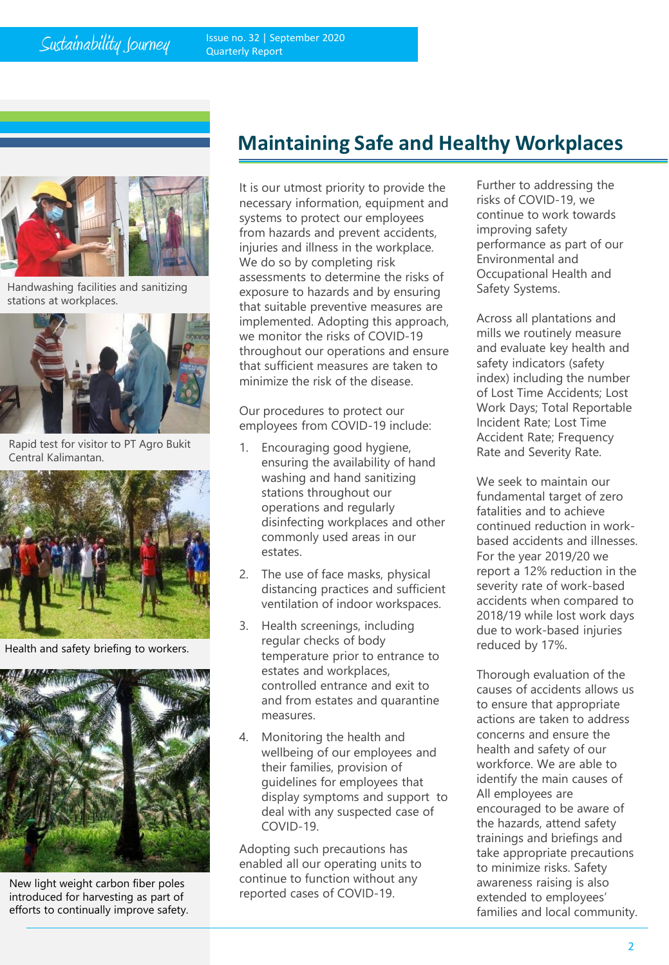$Sustainability \nSumey$  Issue no. 32 | September 2020 Quarterly Report



Handwashing facilities and sanitizing stations at workplaces.



Rapid test for visitor to PT Agro Bukit Central Kalimantan.



Health and safety briefing to workers.



New light weight carbon fiber poles introduced for harvesting as part of efforts to continually improve safety.

# **Maintaining Safe and Healthy Workplaces**

It is our utmost priority to provide the necessary information, equipment and systems to protect our employees from hazards and prevent accidents, injuries and illness in the workplace. We do so by completing risk assessments to determine the risks of exposure to hazards and by ensuring that suitable preventive measures are implemented. Adopting this approach, we monitor the risks of COVID-19 throughout our operations and ensure that sufficient measures are taken to minimize the risk of the disease.

Our procedures to protect our employees from COVID-19 include:

- 1. Encouraging good hygiene, ensuring the availability of hand washing and hand sanitizing stations throughout our operations and regularly disinfecting workplaces and other commonly used areas in our estates.
- 2. The use of face masks, physical distancing practices and sufficient ventilation of indoor workspaces.
- 3. Health screenings, including regular checks of body temperature prior to entrance to estates and workplaces, controlled entrance and exit to and from estates and quarantine measures.
- 4. Monitoring the health and wellbeing of our employees and their families, provision of guidelines for employees that display symptoms and support to deal with any suspected case of COVID-19.

Adopting such precautions has enabled all our operating units to continue to function without any reported cases of COVID-19.

Further to addressing the risks of COVID-19, we continue to work towards improving safety performance as part of our Environmental and Occupational Health and Safety Systems.

Across all plantations and mills we routinely measure and evaluate key health and safety indicators (safety index) including the number of Lost Time Accidents; Lost Work Days; Total Reportable Incident Rate; Lost Time Accident Rate; Frequency Rate and Severity Rate.

We seek to maintain our fundamental target of zero fatalities and to achieve continued reduction in workbased accidents and illnesses. For the year 2019/20 we report a 12% reduction in the severity rate of work-based accidents when compared to 2018/19 while lost work days due to work-based injuries reduced by 17%.

Thorough evaluation of the causes of accidents allows us to ensure that appropriate actions are taken to address concerns and ensure the health and safety of our workforce. We are able to identify the main causes of All employees are encouraged to be aware of the hazards, attend safety trainings and briefings and take appropriate precautions to minimize risks. Safety awareness raising is also extended to employees' families and local community.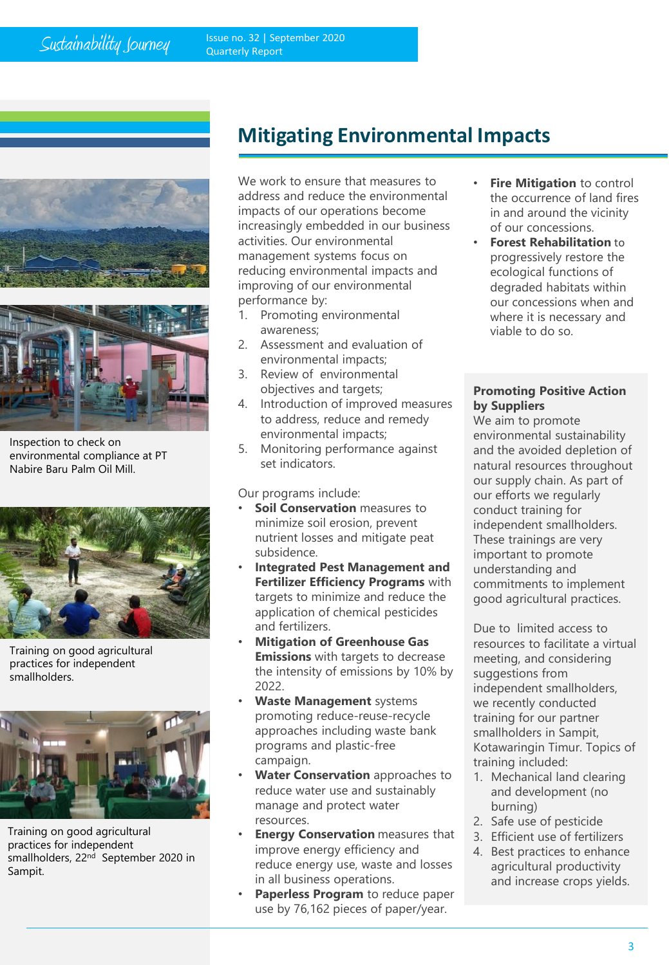



Inspection to check on environmental compliance at PT Nabire Baru Palm Oil Mill.



Training on good agricultural practices for independent smallholders.



Training on good agricultural practices for independent smallholders, 22<sup>nd</sup> September 2020 in Sampit.

# **Mitigating Environmental Impacts**

We work to ensure that measures to address and reduce the environmental impacts of our operations become increasingly embedded in our business activities. Our environmental management systems focus on reducing environmental impacts and improving of our environmental performance by:

- 1. Promoting environmental awareness;
- 2. Assessment and evaluation of environmental impacts;
- 3. Review of environmental objectives and targets;
- 4. Introduction of improved measures to address, reduce and remedy environmental impacts;
- 5. Monitoring performance against set indicators.

Our programs include:

- **Soil Conservation** measures to minimize soil erosion, prevent nutrient losses and mitigate peat subsidence.
- **Integrated Pest Management and Fertilizer Efficiency Programs** with targets to minimize and reduce the application of chemical pesticides and fertilizers.
- **Mitigation of Greenhouse Gas Emissions** with targets to decrease the intensity of emissions by 10% by 2022.
- **Waste Management** systems promoting reduce-reuse-recycle approaches including waste bank programs and plastic-free campaign.
- **Water Conservation** approaches to reduce water use and sustainably manage and protect water resources.
- **Energy Conservation** measures that improve energy efficiency and reduce energy use, waste and losses in all business operations.
- **Paperless Program** to reduce paper use by 76,162 pieces of paper/year.
- **Fire Mitigation to control** the occurrence of land fires in and around the vicinity of our concessions.
- **Forest Rehabilitation** to progressively restore the ecological functions of degraded habitats within our concessions when and where it is necessary and viable to do so.

### **Promoting Positive Action by Suppliers**

We aim to promote environmental sustainability and the avoided depletion of natural resources throughout our supply chain. As part of our efforts we regularly conduct training for independent smallholders. These trainings are very important to promote understanding and commitments to implement good agricultural practices.

Due to limited access to resources to facilitate a virtual meeting, and considering suggestions from independent smallholders, we recently conducted training for our partner smallholders in Sampit, Kotawaringin Timur. Topics of training included:

- 1. Mechanical land clearing and development (no burning)
- 2. Safe use of pesticide
- 3. Efficient use of fertilizers
- 4. Best practices to enhance agricultural productivity and increase crops yields.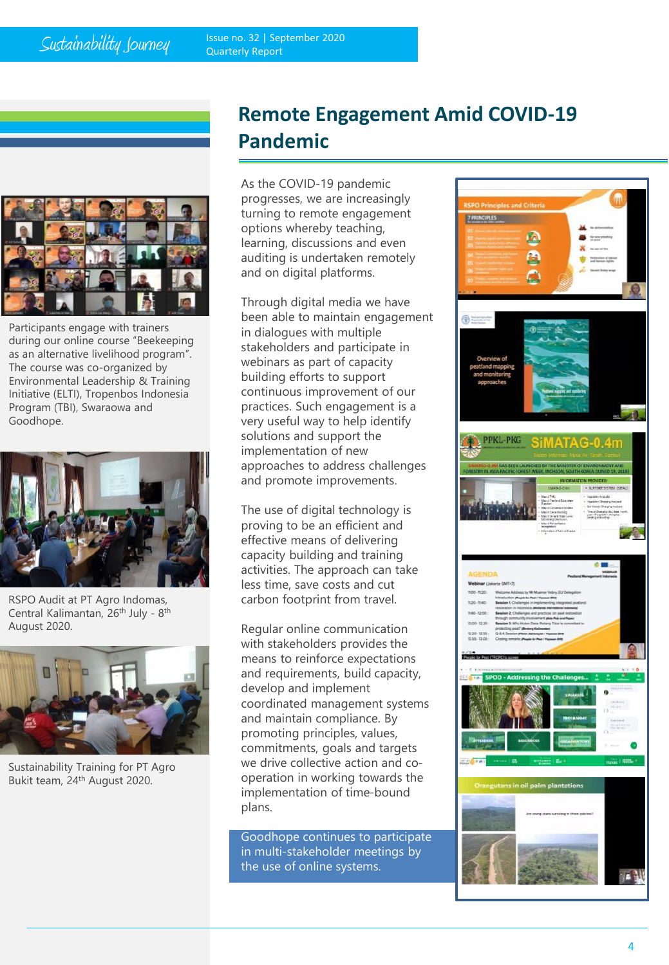Issue no. 32 | September 2020 Quarterly Report



Participants engage with trainers during our online course "Beekeeping as an alternative livelihood program". The course was co-organized by Environmental Leadership & Training Initiative (ELTI), Tropenbos Indonesia Program (TBI), Swaraowa and Goodhope.



RSPO Audit at PT Agro Indomas, Central Kalimantan, 26<sup>th</sup> July - 8<sup>th</sup> August 2020.



Sustainability Training for PT Agro Bukit team, 24th August 2020.

# **Remote Engagement Amid COVID-19 Pandemic**

As the COVID-19 pandemic progresses, we are increasingly turning to remote engagement options whereby teaching, learning, discussions and even auditing is undertaken remotely and on digital platforms.

Through digital media we have been able to maintain engagement in dialogues with multiple stakeholders and participate in webinars as part of capacity building efforts to support continuous improvement of our practices. Such engagement is a very useful way to help identify solutions and support the implementation of new approaches to address challenges and promote improvements.

The use of digital technology is proving to be an efficient and effective means of delivering capacity building and training activities. The approach can take less time, save costs and cut carbon footprint from travel.

Regular online communication with stakeholders provides the means to reinforce expectations and requirements, build capacity, develop and implement coordinated management systems and maintain compliance. By promoting principles, values, commitments, goals and targets we drive collective action and cooperation in working towards the implementation of time-bound plans.

Goodhope continues to participate in multi-stakeholder meetings by the use of online systems.

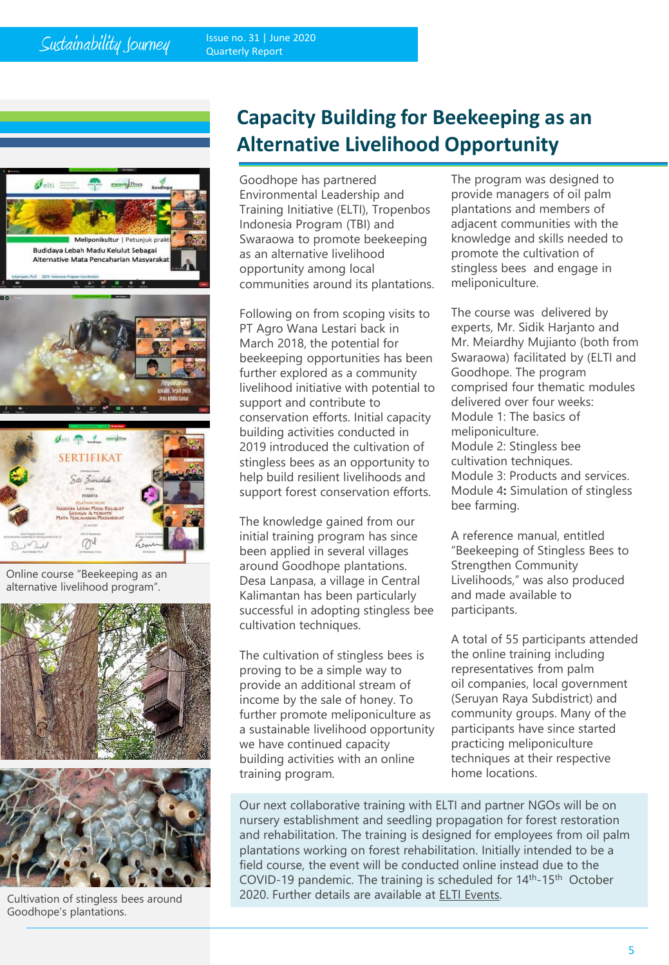Issue no. 31 | June 2020 Quarterly Report





Online course "Beekeeping as an alternative livelihood program".



Cultivation of stingless bees around Goodhope's plantations.

# **Capacity Building for Beekeeping as an Alternative Livelihood Opportunity**

Goodhope has partnered Environmental Leadership and Training Initiative (ELTI), Tropenbos Indonesia Program (TBI) and Swaraowa to promote beekeeping as an alternative livelihood opportunity among local communities around its plantations.

Following on from scoping visits to PT Agro Wana Lestari back in March 2018, the potential for beekeeping opportunities has been further explored as a community livelihood initiative with potential to support and contribute to conservation efforts. Initial capacity building activities conducted in 2019 introduced the cultivation of stingless bees as an opportunity to help build resilient livelihoods and support forest conservation efforts.

The knowledge gained from our initial training program has since been applied in several villages around Goodhope plantations. Desa Lanpasa, a village in Central Kalimantan has been particularly successful in adopting stingless bee cultivation techniques.

The cultivation of stingless bees is proving to be a simple way to provide an additional stream of income by the sale of honey. To further promote meliponiculture as a sustainable livelihood opportunity we have continued capacity building activities with an online training program.

The program was designed to provide managers of oil palm plantations and members of adjacent communities with the knowledge and skills needed to promote the cultivation of stingless bees and engage in meliponiculture.

The course was delivered by experts, Mr. Sidik Harjanto and Mr. Meiardhy Mujianto (both from Swaraowa) facilitated by (ELTI and Goodhope. The program comprised four thematic modules delivered over four weeks: Module 1: The basics of meliponiculture. Module 2: Stingless bee cultivation techniques. Module 3: Products and services. Module 4**:** Simulation of stingless bee farming.

A reference manual, entitled "Beekeeping of Stingless Bees to Strengthen Community Livelihoods," was also produced and made available to participants.

A total of 55 participants attended the online training including representatives from palm oil companies, local government (Seruyan Raya Subdistrict) and community groups. Many of the participants have since started practicing meliponiculture techniques at their respective home locations.

Our next collaborative training with ELTI and partner NGOs will be on nursery establishment and seedling propagation for forest restoration and rehabilitation. The training is designed for employees from oil palm plantations working on forest rehabilitation. Initially intended to be a field course, the event will be conducted online instead due to the COVID-19 pandemic. The training is scheduled for 14th-15th October 2020. Further details are available at **[ELTI Events](https://elti.yale.edu/events/nursery-establishment-and-vegetative-propagation-techniques-online-training)**.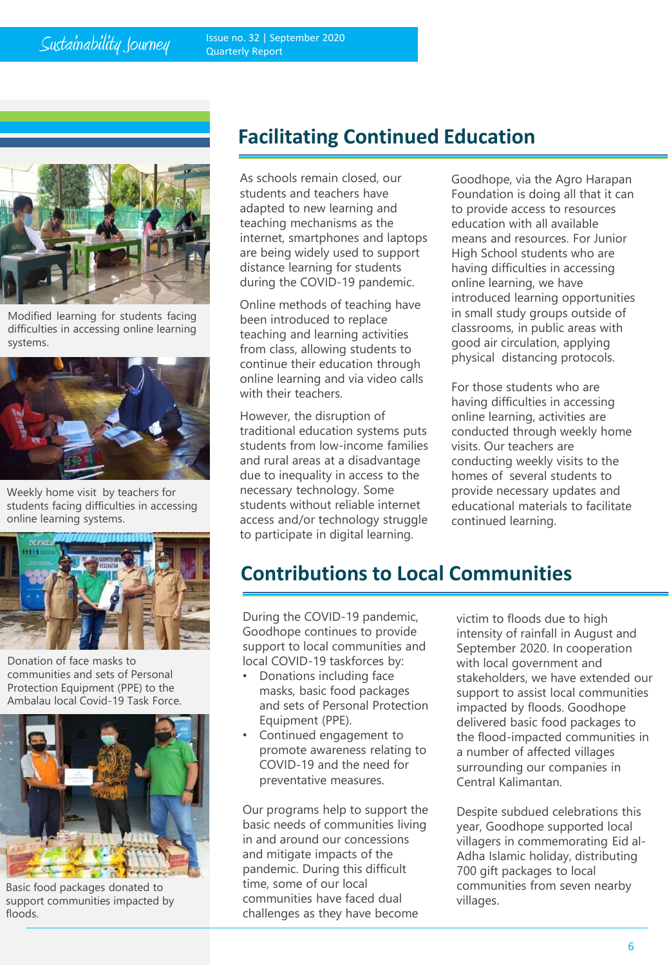$Sustainability \nSumey$  Issue no. 32 | September 2020 Quarterly Report



Modified learning for students facing difficulties in accessing online learning systems.



Weekly home visit by teachers for students facing difficulties in accessing online learning systems.



Donation of face masks to communities and sets of Personal Protection Equipment (PPE) to the Ambalau local Covid-19 Task Force.



Basic food packages donated to support communities impacted by floods.

## **Facilitating Continued Education**

As schools remain closed, our students and teachers have adapted to new learning and teaching mechanisms as the internet, smartphones and laptops are being widely used to support distance learning for students during the COVID-19 pandemic.

Online methods of teaching have been introduced to replace teaching and learning activities from class, allowing students to continue their education through online learning and via video calls with their teachers.

However, the disruption of traditional education systems puts students from low-income families and rural areas at a disadvantage due to inequality in access to the necessary technology. Some students without reliable internet access and/or technology struggle to participate in digital learning.

Goodhope, via the Agro Harapan Foundation is doing all that it can to provide access to resources education with all available means and resources. For Junior High School students who are having difficulties in accessing online learning, we have introduced learning opportunities in small study groups outside of classrooms, in public areas with good air circulation, applying physical distancing protocols.

For those students who are having difficulties in accessing online learning, activities are conducted through weekly home visits. Our teachers are conducting weekly visits to the homes of several students to provide necessary updates and educational materials to facilitate continued learning.

## **Contributions to Local Communities**

During the COVID-19 pandemic, Goodhope continues to provide support to local communities and local COVID-19 taskforces by:

- Donations including face masks, basic food packages and sets of Personal Protection Equipment (PPE).
- Continued engagement to promote awareness relating to COVID-19 and the need for preventative measures.

Our programs help to support the basic needs of communities living in and around our concessions and mitigate impacts of the pandemic. During this difficult time, some of our local communities have faced dual challenges as they have become

victim to floods due to high intensity of rainfall in August and September 2020. In cooperation with local government and stakeholders, we have extended our support to assist local communities impacted by floods. Goodhope delivered basic food packages to the flood-impacted communities in a number of affected villages surrounding our companies in Central Kalimantan.

Despite subdued celebrations this year, Goodhope supported local villagers in commemorating Eid al-Adha Islamic holiday, distributing 700 gift packages to local communities from seven nearby villages.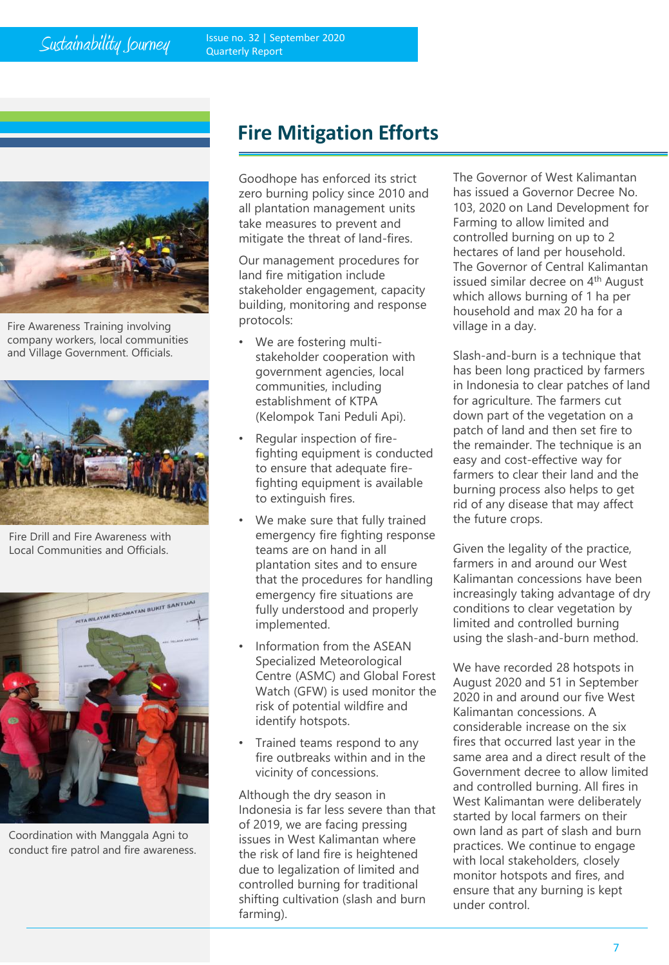## Sustainability Journey



Fire Awareness Training involving company workers, local communities and Village Government. Officials.



Fire Drill and Fire Awareness with Local Communities and Officials.



Coordination with Manggala Agni to conduct fire patrol and fire awareness.

# **Fire Mitigation Efforts**

Goodhope has enforced its strict zero burning policy since 2010 and all plantation management units take measures to prevent and mitigate the threat of land-fires.

Our management procedures for land fire mitigation include stakeholder engagement, capacity building, monitoring and response protocols:

- We are fostering multistakeholder cooperation with government agencies, local communities, including establishment of KTPA (Kelompok Tani Peduli Api).
- Regular inspection of firefighting equipment is conducted to ensure that adequate firefighting equipment is available to extinguish fires.
- We make sure that fully trained emergency fire fighting response teams are on hand in all plantation sites and to ensure that the procedures for handling emergency fire situations are fully understood and properly implemented.
- Information from the ASEAN Specialized Meteorological Centre (ASMC) and Global Forest Watch (GFW) is used monitor the risk of potential wildfire and identify hotspots.
- Trained teams respond to any fire outbreaks within and in the vicinity of concessions.

Although the dry season in Indonesia is far less severe than that of 2019, we are facing pressing issues in West Kalimantan where the risk of land fire is heightened due to legalization of limited and controlled burning for traditional shifting cultivation (slash and burn farming).

The Governor of West Kalimantan has issued a Governor Decree No. 103, 2020 on Land Development for Farming to allow limited and controlled burning on up to 2 hectares of land per household. The Governor of Central Kalimantan issued similar decree on 4<sup>th</sup> August which allows burning of 1 ha per household and max 20 ha for a village in a day.

Slash-and-burn is a technique that has been long practiced by farmers in Indonesia to clear patches of land for agriculture. The farmers cut down part of the vegetation on a patch of land and then set fire to the remainder. The technique is an easy and cost-effective way for farmers to clear their land and the burning process also helps to get rid of any disease that may affect the future crops.

Given the legality of the practice, farmers in and around our West Kalimantan concessions have been increasingly taking advantage of dry conditions to clear vegetation by limited and controlled burning using the slash-and-burn method.

We have recorded 28 hotspots in August 2020 and 51 in September 2020 in and around our five West Kalimantan concessions. A considerable increase on the six fires that occurred last year in the same area and a direct result of the Government decree to allow limited and controlled burning. All fires in West Kalimantan were deliberately started by local farmers on their own land as part of slash and burn practices. We continue to engage with local stakeholders, closely monitor hotspots and fires, and ensure that any burning is kept under control.